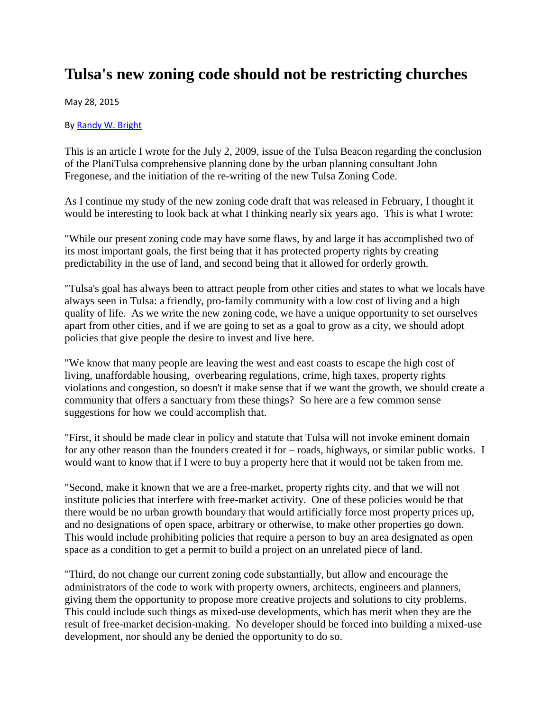## **Tulsa's new zoning code should not be restricting churches**

May 28, 2015

B[y Randy W. Bright](http://www.tulsabeacon.com/author/slug-o6yd1v)

This is an article I wrote for the July 2, 2009, issue of the Tulsa Beacon regarding the conclusion of the PlaniTulsa comprehensive planning done by the urban planning consultant John Fregonese, and the initiation of the re-writing of the new Tulsa Zoning Code.

As I continue my study of the new zoning code draft that was released in February, I thought it would be interesting to look back at what I thinking nearly six years ago. This is what I wrote:

"While our present zoning code may have some flaws, by and large it has accomplished two of its most important goals, the first being that it has protected property rights by creating predictability in the use of land, and second being that it allowed for orderly growth.

"Tulsa's goal has always been to attract people from other cities and states to what we locals have always seen in Tulsa: a friendly, pro-family community with a low cost of living and a high quality of life. As we write the new zoning code, we have a unique opportunity to set ourselves apart from other cities, and if we are going to set as a goal to grow as a city, we should adopt policies that give people the desire to invest and live here.

"We know that many people are leaving the west and east coasts to escape the high cost of living, unaffordable housing, overbearing regulations, crime, high taxes, property rights violations and congestion, so doesn't it make sense that if we want the growth, we should create a community that offers a sanctuary from these things? So here are a few common sense suggestions for how we could accomplish that.

"First, it should be made clear in policy and statute that Tulsa will not invoke eminent domain for any other reason than the founders created it for – roads, highways, or similar public works. I would want to know that if I were to buy a property here that it would not be taken from me.

"Second, make it known that we are a free-market, property rights city, and that we will not institute policies that interfere with free-market activity. One of these policies would be that there would be no urban growth boundary that would artificially force most property prices up, and no designations of open space, arbitrary or otherwise, to make other properties go down. This would include prohibiting policies that require a person to buy an area designated as open space as a condition to get a permit to build a project on an unrelated piece of land.

"Third, do not change our current zoning code substantially, but allow and encourage the administrators of the code to work with property owners, architects, engineers and planners, giving them the opportunity to propose more creative projects and solutions to city problems. This could include such things as mixed-use developments, which has merit when they are the result of free-market decision-making. No developer should be forced into building a mixed-use development, nor should any be denied the opportunity to do so.